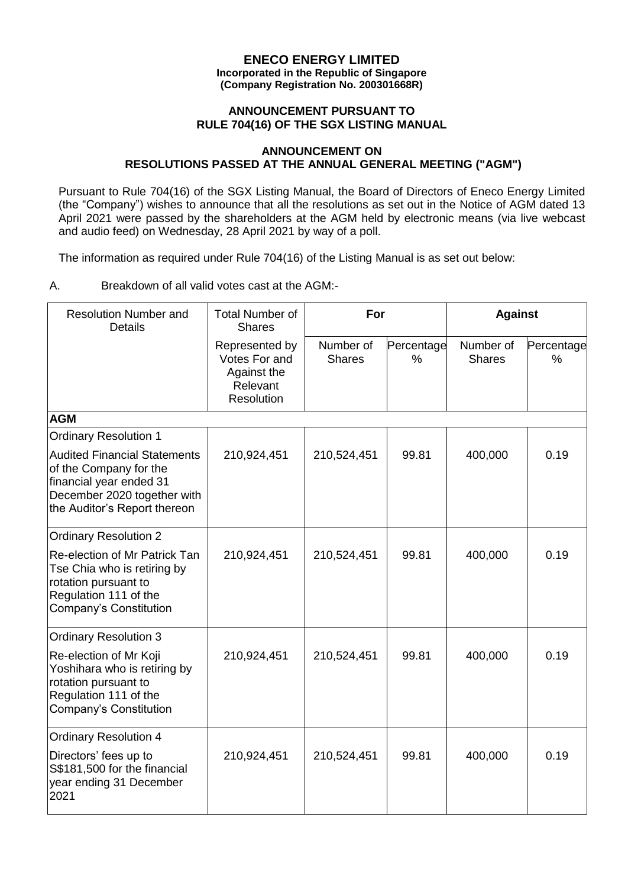### **ENECO ENERGY LIMITED Incorporated in the Republic of Singapore (Company Registration No. 200301668R)**

### **ANNOUNCEMENT PURSUANT TO RULE 704(16) OF THE SGX LISTING MANUAL**

# **ANNOUNCEMENT ON RESOLUTIONS PASSED AT THE ANNUAL GENERAL MEETING ("AGM")**

Pursuant to Rule 704(16) of the SGX Listing Manual, the Board of Directors of Eneco Energy Limited (the "Company") wishes to announce that all the resolutions as set out in the Notice of AGM dated 13 April 2021 were passed by the shareholders at the AGM held by electronic means (via live webcast and audio feed) on Wednesday, 28 April 2021 by way of a poll.

The information as required under Rule 704(16) of the Listing Manual is as set out below:

# A. Breakdown of all valid votes cast at the AGM:-

| <b>Resolution Number and</b><br>Details                                                                                                                 | <b>Total Number of</b><br><b>Shares</b>                                  | For                        |                 | <b>Against</b>             |                 |
|---------------------------------------------------------------------------------------------------------------------------------------------------------|--------------------------------------------------------------------------|----------------------------|-----------------|----------------------------|-----------------|
|                                                                                                                                                         | Represented by<br>Votes For and<br>Against the<br>Relevant<br>Resolution | Number of<br><b>Shares</b> | Percentage<br>% | Number of<br><b>Shares</b> | Percentage<br>% |
| <b>AGM</b>                                                                                                                                              |                                                                          |                            |                 |                            |                 |
| <b>Ordinary Resolution 1</b>                                                                                                                            |                                                                          |                            |                 |                            |                 |
| <b>Audited Financial Statements</b><br>of the Company for the<br>financial year ended 31<br>December 2020 together with<br>the Auditor's Report thereon | 210,924,451                                                              | 210,524,451                | 99.81           | 400,000                    | 0.19            |
| <b>Ordinary Resolution 2</b>                                                                                                                            |                                                                          |                            |                 |                            |                 |
| Re-election of Mr Patrick Tan<br>Tse Chia who is retiring by<br>rotation pursuant to<br>Regulation 111 of the<br>Company's Constitution                 | 210,924,451                                                              | 210,524,451                | 99.81           | 400,000                    | 0.19            |
| <b>Ordinary Resolution 3</b>                                                                                                                            |                                                                          |                            |                 |                            |                 |
| Re-election of Mr Koji<br>Yoshihara who is retiring by<br>rotation pursuant to<br>Regulation 111 of the<br>Company's Constitution                       | 210,924,451                                                              | 210,524,451                | 99.81           | 400,000                    | 0.19            |
| <b>Ordinary Resolution 4</b>                                                                                                                            |                                                                          |                            |                 |                            |                 |
| Directors' fees up to<br>S\$181,500 for the financial<br>year ending 31 December<br>2021                                                                | 210,924,451                                                              | 210,524,451                | 99.81           | 400,000                    | 0.19            |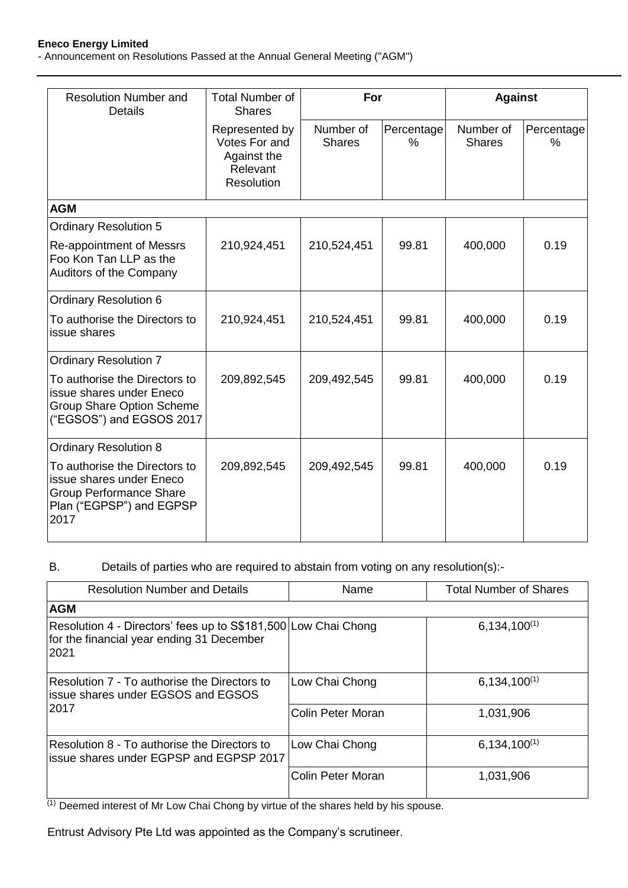#### **Eneco Energy Limited**

- Announcement on Resolutions Passed at the Annual General Meeting ("AGM")

| <b>Resolution Number and</b><br><b>Details</b>                                                                                  | <b>Total Number of</b><br>For<br><b>Shares</b>                                  |                            |                    | <b>Against</b>             |                    |
|---------------------------------------------------------------------------------------------------------------------------------|---------------------------------------------------------------------------------|----------------------------|--------------------|----------------------------|--------------------|
|                                                                                                                                 | Represented by<br>Votes For and<br>Against the<br>Relevant<br><b>Resolution</b> | Number of<br><b>Shares</b> | Percentage<br>$\%$ | Number of<br><b>Shares</b> | Percentage<br>$\%$ |
| <b>AGM</b>                                                                                                                      |                                                                                 |                            |                    |                            |                    |
| <b>Ordinary Resolution 5</b>                                                                                                    |                                                                                 |                            |                    |                            |                    |
| Re-appointment of Messrs<br>Foo Kon Tan LLP as the<br>Auditors of the Company                                                   | 210,924,451                                                                     | 210,524,451                | 99.81              | 400,000                    | 0.19               |
| <b>Ordinary Resolution 6</b>                                                                                                    |                                                                                 |                            |                    |                            |                    |
| To authorise the Directors to<br>issue shares                                                                                   | 210,924,451                                                                     | 210,524,451                | 99.81              | 400,000                    | 0.19               |
| <b>Ordinary Resolution 7</b>                                                                                                    |                                                                                 |                            |                    |                            |                    |
| To authorise the Directors to<br>issue shares under Eneco<br><b>Group Share Option Scheme</b><br>("EGSOS") and EGSOS 2017       | 209,892,545                                                                     | 209,492,545                | 99.81              | 400,000                    | 0.19               |
| <b>Ordinary Resolution 8</b>                                                                                                    |                                                                                 |                            |                    |                            |                    |
| To authorise the Directors to<br>issue shares under Eneco<br><b>Group Performance Share</b><br>Plan ("EGPSP") and EGPSP<br>2017 | 209,892,545                                                                     | 209,492,545                | 99.81              | 400,000                    | 0.19               |

# B. Details of parties who are required to abstain from voting on any resolution(s):-

| <b>Resolution Number and Details</b>                                                                                | Name              | <b>Total Number of Shares</b> |  |
|---------------------------------------------------------------------------------------------------------------------|-------------------|-------------------------------|--|
| <b>AGM</b>                                                                                                          |                   |                               |  |
| Resolution 4 - Directors' fees up to S\$181,500 Low Chai Chong<br>for the financial year ending 31 December<br>2021 |                   | $6,134,100^{(1)}$             |  |
| Resolution 7 - To authorise the Directors to<br>lissue shares under EGSOS and EGSOS                                 | Low Chai Chong    | $6,134,100^{(1)}$             |  |
| 2017                                                                                                                | Colin Peter Moran | 1,031,906                     |  |
| Resolution 8 - To authorise the Directors to<br>issue shares under EGPSP and EGPSP 2017                             | Low Chai Chong    | $6,134,100^{(1)}$             |  |
|                                                                                                                     | Colin Peter Moran | 1,031,906                     |  |

(1) Deemed interest of Mr Low Chai Chong by virtue of the shares held by his spouse.

Entrust Advisory Pte Ltd was appointed as the Company's scrutineer.